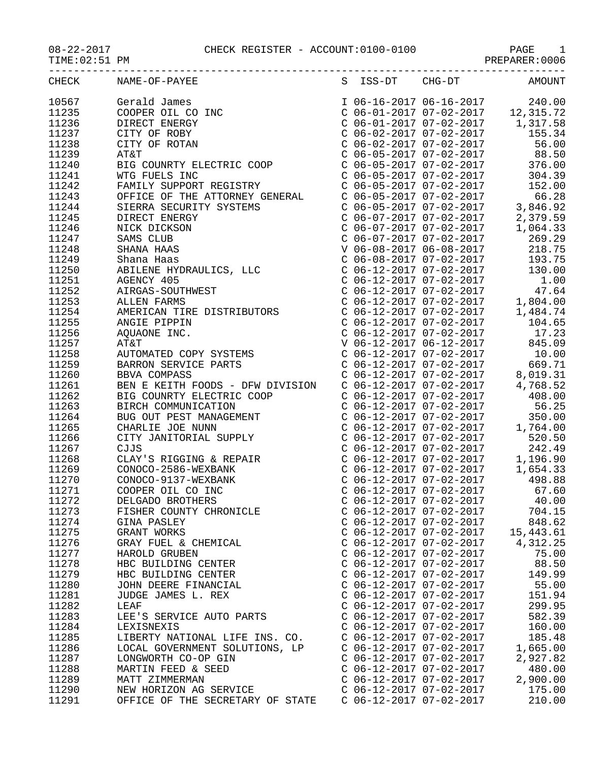08-22-2017 CHECK REGISTER - ACCOUNT:0100-0100 PAGE 1

|       | S ISS-DT CHG-DT AMOUNT<br>CHECK NAME-OF-PAYEE                                                                                                                                                                                                      |                           |           |
|-------|----------------------------------------------------------------------------------------------------------------------------------------------------------------------------------------------------------------------------------------------------|---------------------------|-----------|
| 10567 | Gerald James                                                                                                                                                                                                                                       |                           |           |
| 11235 |                                                                                                                                                                                                                                                    |                           |           |
| 11236 |                                                                                                                                                                                                                                                    |                           |           |
| 11237 |                                                                                                                                                                                                                                                    |                           |           |
| 11238 | CITY OF ROTAN                                                                                                                                                                                                                                      |                           |           |
| 11239 |                                                                                                                                                                                                                                                    |                           |           |
| 11240 |                                                                                                                                                                                                                                                    |                           |           |
| 11241 |                                                                                                                                                                                                                                                    |                           |           |
| 11242 |                                                                                                                                                                                                                                                    |                           |           |
| 11243 |                                                                                                                                                                                                                                                    |                           |           |
| 11244 |                                                                                                                                                                                                                                                    |                           |           |
| 11245 |                                                                                                                                                                                                                                                    |                           |           |
| 11246 |                                                                                                                                                                                                                                                    |                           |           |
| 11247 |                                                                                                                                                                                                                                                    |                           |           |
| 11248 |                                                                                                                                                                                                                                                    |                           |           |
| 11249 |                                                                                                                                                                                                                                                    |                           |           |
| 11250 |                                                                                                                                                                                                                                                    |                           |           |
| 11251 |                                                                                                                                                                                                                                                    |                           |           |
| 11252 |                                                                                                                                                                                                                                                    |                           |           |
| 11253 | AIRGAS-SOUTI<br>ALLEN FARMS                                                                                                                                                                                                                        |                           |           |
| 11254 |                                                                                                                                                                                                                                                    |                           |           |
| 11255 |                                                                                                                                                                                                                                                    |                           |           |
| 11256 |                                                                                                                                                                                                                                                    |                           |           |
| 11257 |                                                                                                                                                                                                                                                    |                           |           |
| 11258 |                                                                                                                                                                                                                                                    |                           |           |
| 11259 |                                                                                                                                                                                                                                                    |                           |           |
| 11260 | ALLEN FARMS<br>AMERICAN TIRE DISTRIBUTORS<br>AMERICAN TIRE DISTRIBUTORS<br>ACUAONE INC.<br>AQUAONE INC.<br>C 06-12-2017 07-02-2017<br>C 06-12-2017 07-02-2017<br>C 06-12-2017 07-02-2017<br>MUTOMATED COPY SYSTEMS<br>C 06-12-2017 07-02-2017<br>C |                           |           |
| 11261 |                                                                                                                                                                                                                                                    |                           |           |
| 11262 |                                                                                                                                                                                                                                                    |                           |           |
| 11263 |                                                                                                                                                                                                                                                    |                           |           |
| 11264 |                                                                                                                                                                                                                                                    |                           |           |
| 11265 |                                                                                                                                                                                                                                                    |                           |           |
| 11266 |                                                                                                                                                                                                                                                    |                           |           |
| 11267 |                                                                                                                                                                                                                                                    |                           |           |
| 11268 |                                                                                                                                                                                                                                                    |                           |           |
| 11269 |                                                                                                                                                                                                                                                    |                           |           |
| 11270 |                                                                                                                                                                                                                                                    |                           |           |
| 11271 |                                                                                                                                                                                                                                                    |                           |           |
| 11272 | DELGADO BROTHERS                                                                                                                                                                                                                                   | $C$ 06-12-2017 07-02-2017 | 40.00     |
| 11273 | FISHER COUNTY CHRONICLE                                                                                                                                                                                                                            | $C$ 06-12-2017 07-02-2017 | 704.15    |
| 11274 | GINA PASLEY                                                                                                                                                                                                                                        | $C$ 06-12-2017 07-02-2017 | 848.62    |
| 11275 | GRANT WORKS                                                                                                                                                                                                                                        | $C$ 06-12-2017 07-02-2017 | 15,443.61 |
| 11276 | GRAY FUEL & CHEMICAL                                                                                                                                                                                                                               | C 06-12-2017 07-02-2017   | 4,312.25  |
| 11277 | HAROLD GRUBEN                                                                                                                                                                                                                                      | $C$ 06-12-2017 07-02-2017 | 75.00     |
| 11278 | HBC BUILDING CENTER                                                                                                                                                                                                                                | $C$ 06-12-2017 07-02-2017 | 88.50     |
| 11279 | HBC BUILDING CENTER                                                                                                                                                                                                                                | $C$ 06-12-2017 07-02-2017 | 149.99    |
| 11280 | JOHN DEERE FINANCIAL                                                                                                                                                                                                                               | C 06-12-2017 07-02-2017   | 55.00     |
| 11281 | JUDGE JAMES L. REX                                                                                                                                                                                                                                 | C 06-12-2017 07-02-2017   | 151.94    |
| 11282 | LEAF                                                                                                                                                                                                                                               | $C$ 06-12-2017 07-02-2017 | 299.95    |
| 11283 | LEE'S SERVICE AUTO PARTS                                                                                                                                                                                                                           | $C$ 06-12-2017 07-02-2017 | 582.39    |
| 11284 | LEXISNEXIS                                                                                                                                                                                                                                         | $C$ 06-12-2017 07-02-2017 | 160.00    |
| 11285 | LIBERTY NATIONAL LIFE INS. CO.                                                                                                                                                                                                                     | $C$ 06-12-2017 07-02-2017 | 185.48    |
| 11286 | LOCAL GOVERNMENT SOLUTIONS, LP                                                                                                                                                                                                                     | $C$ 06-12-2017 07-02-2017 | 1,665.00  |
| 11287 | LONGWORTH CO-OP GIN                                                                                                                                                                                                                                | $C$ 06-12-2017 07-02-2017 | 2,927.82  |
| 11288 | MARTIN FEED & SEED                                                                                                                                                                                                                                 | $C$ 06-12-2017 07-02-2017 | 480.00    |
| 11289 | MATT ZIMMERMAN                                                                                                                                                                                                                                     | $C$ 06-12-2017 07-02-2017 | 2,900.00  |
| 11290 | NEW HORIZON AG SERVICE                                                                                                                                                                                                                             | $C$ 06-12-2017 07-02-2017 | 175.00    |
|       |                                                                                                                                                                                                                                                    |                           |           |

11291 OFFICE OF THE SECRETARY OF STATE C 06-12-2017 07-02-2017 210.00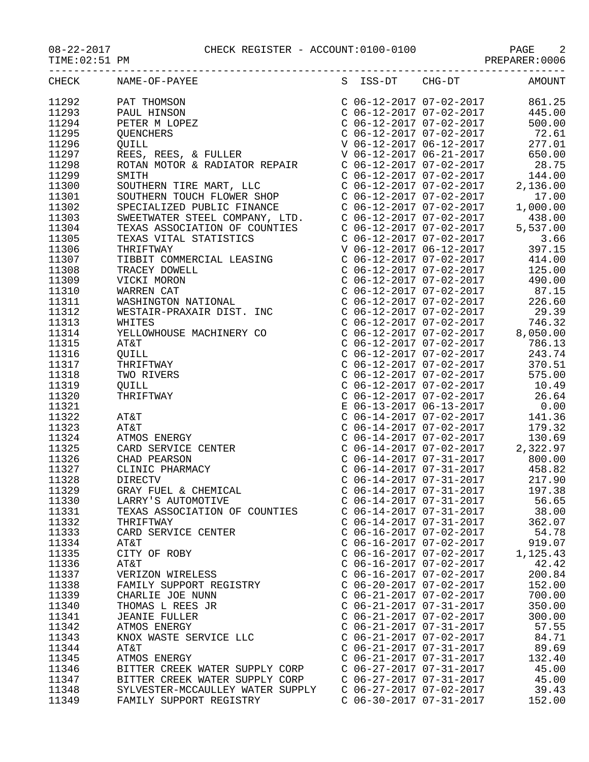## 08-22-2017 CHECK REGISTER - ACCOUNT:0100-0100 PAGE 2

PREPARER:0006

|                | CHECK NAME-OF-PAYEE                                                                                                                                                                                                                                                                     |                                                        | S ISS-DT CHG-DT AMOUNT                                                                                                                                                                                                                                                                                   |
|----------------|-----------------------------------------------------------------------------------------------------------------------------------------------------------------------------------------------------------------------------------------------------------------------------------------|--------------------------------------------------------|----------------------------------------------------------------------------------------------------------------------------------------------------------------------------------------------------------------------------------------------------------------------------------------------------------|
| 11292          |                                                                                                                                                                                                                                                                                         |                                                        |                                                                                                                                                                                                                                                                                                          |
| 11293          |                                                                                                                                                                                                                                                                                         |                                                        |                                                                                                                                                                                                                                                                                                          |
| 11294          |                                                                                                                                                                                                                                                                                         |                                                        |                                                                                                                                                                                                                                                                                                          |
| 11295          | PEILA  _<br>QUENCHERS                                                                                                                                                                                                                                                                   |                                                        |                                                                                                                                                                                                                                                                                                          |
| 11296          |                                                                                                                                                                                                                                                                                         |                                                        |                                                                                                                                                                                                                                                                                                          |
| 11297          |                                                                                                                                                                                                                                                                                         |                                                        |                                                                                                                                                                                                                                                                                                          |
| 11298          |                                                                                                                                                                                                                                                                                         |                                                        |                                                                                                                                                                                                                                                                                                          |
| 11299          |                                                                                                                                                                                                                                                                                         |                                                        |                                                                                                                                                                                                                                                                                                          |
| 11300          |                                                                                                                                                                                                                                                                                         |                                                        |                                                                                                                                                                                                                                                                                                          |
| 11301          |                                                                                                                                                                                                                                                                                         |                                                        |                                                                                                                                                                                                                                                                                                          |
| 11302          |                                                                                                                                                                                                                                                                                         |                                                        |                                                                                                                                                                                                                                                                                                          |
| 11303          |                                                                                                                                                                                                                                                                                         |                                                        |                                                                                                                                                                                                                                                                                                          |
| 11304          |                                                                                                                                                                                                                                                                                         |                                                        |                                                                                                                                                                                                                                                                                                          |
| 11305          | IEXAS ASSOCIATION OF COONTIES<br>TEXAS VITAL STATISTICS<br>THRIFTWAY<br>TIBBIT COMMERCIAL LEASING<br>TRACEY DOWELL<br>VICKI MORON<br>WARREN CAT<br>WASHINGTON NATIONAL<br>WESTAIR-PRAXAIR DIST. INC<br>WHITES                                                                           |                                                        |                                                                                                                                                                                                                                                                                                          |
| 11306          |                                                                                                                                                                                                                                                                                         |                                                        |                                                                                                                                                                                                                                                                                                          |
| 11307          |                                                                                                                                                                                                                                                                                         |                                                        |                                                                                                                                                                                                                                                                                                          |
| 11308          |                                                                                                                                                                                                                                                                                         |                                                        |                                                                                                                                                                                                                                                                                                          |
| 11309          |                                                                                                                                                                                                                                                                                         |                                                        |                                                                                                                                                                                                                                                                                                          |
| 11310          |                                                                                                                                                                                                                                                                                         |                                                        | $\begin{tabular}{lllllllllll} \texttt{C} & 06-12-2017 & 07-02-2017 & 125.00 \\ \texttt{C} & 06-12-2017 & 07-02-2017 & 490.00 \\ \texttt{C} & 06-12-2017 & 07-02-2017 & 87.15 \\ \texttt{C} & 06-12-2017 & 07-02-2017 & 226.60 \\ \texttt{C} & 06-12-2017 & 07-02-2017 & 746.32 \\ \texttt{C} & 06-12$    |
| 11311          |                                                                                                                                                                                                                                                                                         |                                                        |                                                                                                                                                                                                                                                                                                          |
| 11312          |                                                                                                                                                                                                                                                                                         |                                                        |                                                                                                                                                                                                                                                                                                          |
| 11313          |                                                                                                                                                                                                                                                                                         |                                                        |                                                                                                                                                                                                                                                                                                          |
| 11314          | WOLLES<br>YELLOWHOUSE MACHINERY CO<br>AT&T                                                                                                                                                                                                                                              |                                                        |                                                                                                                                                                                                                                                                                                          |
| 11315          |                                                                                                                                                                                                                                                                                         |                                                        | C 06-12-2017 07-02-2017 786.13<br>C 06-12-2017 07-02-2017 243.74<br>C 06-12-2017 07-02-2017 370.51<br>C 06-12-2017 07-02-2017 575.00                                                                                                                                                                     |
| 11316          |                                                                                                                                                                                                                                                                                         |                                                        |                                                                                                                                                                                                                                                                                                          |
| 11317          |                                                                                                                                                                                                                                                                                         |                                                        |                                                                                                                                                                                                                                                                                                          |
| 11318          |                                                                                                                                                                                                                                                                                         |                                                        |                                                                                                                                                                                                                                                                                                          |
| 11319          | YELLOWHOUSE MACHINERY CO<br>AT&T<br>QUILL<br>THRIFTWAY<br>TWO RIVERS<br>QUILL<br>THRIFTWAY<br>AT&T<br>AT&T<br>AT&T<br>AT&T<br>AT&T<br>CARD SERVICE CENTER<br>CARD SERVICE CENTER<br>CHAD PEARSON<br>CLINIC PHARMACY<br>DIRECTV<br>GRAY FUEL & CHEMICAL<br>LARY FUEL & CHEMICAL<br>LARRY |                                                        | C 06-12-2017 07-02-2017 10.49                                                                                                                                                                                                                                                                            |
| 11320          |                                                                                                                                                                                                                                                                                         |                                                        | $\begin{array}{cccccc} \texttt{C} & 06-12-2017 & 07-02-2017 & & 10.49 \\ \texttt{C} & 06-12-2017 & 07-02-2017 & & 26.64 \\ \texttt{E} & 06-13-2017 & 06-13-2017 & & 0.00 \\ \texttt{C} & 06-14-2017 & 07-02-2017 & & 141.36 \\ \texttt{C} & 06-14-2017 & 07-02-2017 & & 130.69 \\ \texttt{C} & 06-14-20$ |
| 11321          |                                                                                                                                                                                                                                                                                         |                                                        |                                                                                                                                                                                                                                                                                                          |
| 11322          |                                                                                                                                                                                                                                                                                         |                                                        |                                                                                                                                                                                                                                                                                                          |
| 11323          |                                                                                                                                                                                                                                                                                         |                                                        |                                                                                                                                                                                                                                                                                                          |
| 11324          |                                                                                                                                                                                                                                                                                         |                                                        |                                                                                                                                                                                                                                                                                                          |
| 11325          |                                                                                                                                                                                                                                                                                         |                                                        | $C \ 06-14-2017$ $07-02-2017$ 2,322.97                                                                                                                                                                                                                                                                   |
| 11326          |                                                                                                                                                                                                                                                                                         |                                                        | C 06-14-2017 07-31-2017 800.00<br>C 06-14-2017 07-31-2017 458.82<br>C 06-14-2017 07-31-2017 217.90<br>C 06-14-2017 07-31-2017 197.38                                                                                                                                                                     |
| 11327          |                                                                                                                                                                                                                                                                                         |                                                        |                                                                                                                                                                                                                                                                                                          |
| 11328          |                                                                                                                                                                                                                                                                                         |                                                        |                                                                                                                                                                                                                                                                                                          |
| 11329          |                                                                                                                                                                                                                                                                                         |                                                        |                                                                                                                                                                                                                                                                                                          |
| 11330          | LARRY'S AUTOMOTIVE                                                                                                                                                                                                                                                                      | $C$ 06-14-2017 07-31-2017                              | 56.65                                                                                                                                                                                                                                                                                                    |
| 11331          | TEXAS ASSOCIATION OF COUNTIES                                                                                                                                                                                                                                                           | $C$ 06-14-2017 07-31-2017                              | 38.00                                                                                                                                                                                                                                                                                                    |
| 11332          | THRIFTWAY                                                                                                                                                                                                                                                                               | $C$ 06-14-2017 07-31-2017                              | 362.07                                                                                                                                                                                                                                                                                                   |
| 11333          | CARD SERVICE CENTER                                                                                                                                                                                                                                                                     | $C$ 06-16-2017 07-02-2017                              | 54.78                                                                                                                                                                                                                                                                                                    |
| 11334          | AT&T                                                                                                                                                                                                                                                                                    | $C$ 06-16-2017 07-02-2017                              | 919.07                                                                                                                                                                                                                                                                                                   |
| 11335          | CITY OF ROBY                                                                                                                                                                                                                                                                            | $C$ 06-16-2017 07-02-2017                              | 1,125.43                                                                                                                                                                                                                                                                                                 |
| 11336          | AT&T                                                                                                                                                                                                                                                                                    | $C$ 06-16-2017 07-02-2017                              | 42.42                                                                                                                                                                                                                                                                                                    |
| 11337          | VERIZON WIRELESS                                                                                                                                                                                                                                                                        | $C$ 06-16-2017 07-02-2017                              | 200.84                                                                                                                                                                                                                                                                                                   |
| 11338          | FAMILY SUPPORT REGISTRY                                                                                                                                                                                                                                                                 | $C$ 06-20-2017 07-02-2017                              | 152.00                                                                                                                                                                                                                                                                                                   |
| 11339          | CHARLIE JOE NUNN                                                                                                                                                                                                                                                                        | $C$ 06-21-2017 07-02-2017                              | 700.00                                                                                                                                                                                                                                                                                                   |
| 11340          | THOMAS L REES JR                                                                                                                                                                                                                                                                        | $C$ 06-21-2017 07-31-2017                              | 350.00                                                                                                                                                                                                                                                                                                   |
| 11341          | <b>JEANIE FULLER</b>                                                                                                                                                                                                                                                                    | $C$ 06-21-2017 07-02-2017                              | 300.00                                                                                                                                                                                                                                                                                                   |
| 11342          | ATMOS ENERGY                                                                                                                                                                                                                                                                            | $C$ 06-21-2017 07-31-2017                              | 57.55                                                                                                                                                                                                                                                                                                    |
| 11343          | KNOX WASTE SERVICE LLC                                                                                                                                                                                                                                                                  | $C$ 06-21-2017 07-02-2017                              | 84.71                                                                                                                                                                                                                                                                                                    |
| 11344          | AT&T                                                                                                                                                                                                                                                                                    | $C$ 06-21-2017 07-31-2017                              | 89.69                                                                                                                                                                                                                                                                                                    |
| 11345          | ATMOS ENERGY                                                                                                                                                                                                                                                                            | $C$ 06-21-2017 07-31-2017                              | 132.40                                                                                                                                                                                                                                                                                                   |
| 11346          | BITTER CREEK WATER SUPPLY CORP                                                                                                                                                                                                                                                          | $C$ 06-27-2017 07-31-2017                              | 45.00                                                                                                                                                                                                                                                                                                    |
| 11347          | BITTER CREEK WATER SUPPLY CORP                                                                                                                                                                                                                                                          | $C$ 06-27-2017 07-31-2017                              | 45.00                                                                                                                                                                                                                                                                                                    |
| 11348<br>11349 | SYLVESTER-MCCAULLEY WATER SUPPLY<br>FAMILY SUPPORT REGISTRY                                                                                                                                                                                                                             | $C$ 06-27-2017 07-02-2017<br>$C$ 06-30-2017 07-31-2017 | 39.43<br>152.00                                                                                                                                                                                                                                                                                          |
|                |                                                                                                                                                                                                                                                                                         |                                                        |                                                                                                                                                                                                                                                                                                          |